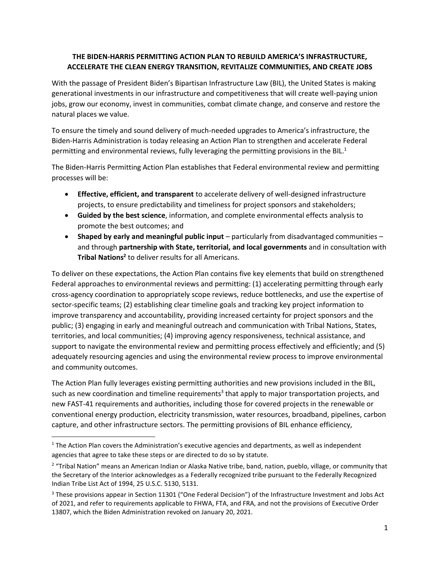## **THE BIDEN-HARRIS PERMITTING ACTION PLAN TO REBUILD AMERICA'S INFRASTRUCTURE, ACCELERATE THE CLEAN ENERGY TRANSITION, REVITALIZE COMMUNITIES, AND CREATE JOBS**

With the passage of President Biden's Bipartisan Infrastructure Law (BIL), the United States is making generational investments in our infrastructure and competitiveness that will create well-paying union jobs, grow our economy, invest in communities, combat climate change, and conserve and restore the natural places we value.

To ensure the timely and sound delivery of much-needed upgrades to America's infrastructure, the Biden-Harris Administration is today releasing an Action Plan to strengthen and accelerate Federal permitting and environmental reviews, fully leveraging the permitting provisions in the BIL.<sup>1</sup>

The Biden-Harris Permitting Action Plan establishes that Federal environmental review and permitting processes will be:

- **Effective, efficient, and transparent** to accelerate delivery of well-designed infrastructure projects, to ensure predictability and timeliness for project sponsors and stakeholders;
- **Guided by the best science**, information, and complete environmental effects analysis to promote the best outcomes; and
- Shaped by early and meaningful public input particularly from disadvantaged communities and through **partnership with State, territorial, and local governments** and in consultation with **Tribal Nations<sup>2</sup>** to deliver results for all Americans.

To deliver on these expectations, the Action Plan contains five key elements that build on strengthened Federal approaches to environmental reviews and permitting: (1) accelerating permitting through early cross-agency coordination to appropriately scope reviews, reduce bottlenecks, and use the expertise of sector-specific teams; (2) establishing clear timeline goals and tracking key project information to improve transparency and accountability, providing increased certainty for project sponsors and the public; (3) engaging in early and meaningful outreach and communication with Tribal Nations, States, territories, and local communities; (4) improving agency responsiveness, technical assistance, and support to navigate the environmental review and permitting process effectively and efficiently; and (5) adequately resourcing agencies and using the environmental review process to improve environmental and community outcomes.

The Action Plan fully leverages existing permitting authorities and new provisions included in the BIL, such as new coordination and timeline requirements<sup>3</sup> that apply to major transportation projects, and new FAST-41 requirements and authorities, including those for covered projects in the renewable or conventional energy production, electricity transmission, water resources, broadband, pipelines, carbon capture, and other infrastructure sectors. The permitting provisions of BIL enhance efficiency,

 $1$  The Action Plan covers the Administration's executive agencies and departments, as well as independent agencies that agree to take these steps or are directed to do so by statute.

<sup>2</sup> "Tribal Nation" means an American Indian or Alaska Native tribe, band, nation, pueblo, village, or community that the Secretary of the Interior acknowledges as a Federally recognized tribe pursuant to the Federally Recognized Indian Tribe List Act of 1994, 25 U.S.C. 5130, 5131.

<sup>&</sup>lt;sup>3</sup> These provisions appear in Section 11301 ("One Federal Decision") of the Infrastructure Investment and Jobs Act of 2021, and refer to requirements applicable to FHWA, FTA, and FRA, and not the provisions of Executive Order 13807, which the Biden Administration revoked on January 20, 2021.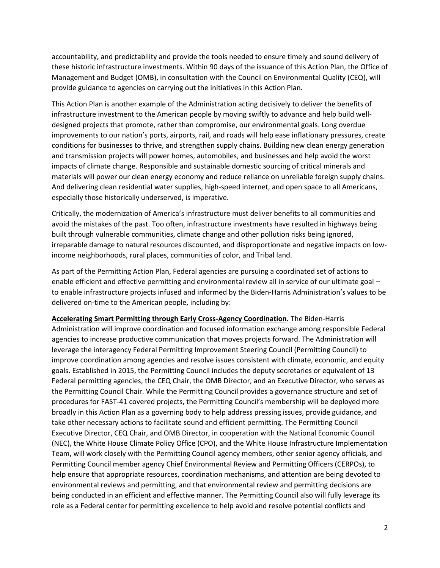accountability, and predictability and provide the tools needed to ensure timely and sound delivery of these historic infrastructure investments. Within 90 days of the issuance of this Action Plan, the Office of Management and Budget (OMB), in consultation with the Council on Environmental Quality (CEQ), will provide guidance to agencies on carrying out the initiatives in this Action Plan.

This Action Plan is another example of the Administration acting decisively to deliver the benefits of infrastructure investment to the American people by moving swiftly to advance and help build welldesigned projects that promote, rather than compromise, our environmental goals. Long overdue improvements to our nation's ports, airports, rail, and roads will help ease inflationary pressures, create conditions for businesses to thrive, and strengthen supply chains. Building new clean energy generation and transmission projects will power homes, automobiles, and businesses and help avoid the worst impacts of climate change. Responsible and sustainable domestic sourcing of critical minerals and materials will power our clean energy economy and reduce reliance on unreliable foreign supply chains. And delivering clean residential water supplies, high-speed internet, and open space to all Americans, especially those historically underserved, is imperative.

Critically, the modernization of America's infrastructure must deliver benefits to all communities and avoid the mistakes of the past. Too often, infrastructure investments have resulted in highways being built through vulnerable communities, climate change and other pollution risks being ignored, irreparable damage to natural resources discounted, and disproportionate and negative impacts on lowincome neighborhoods, rural places, communities of color, and Tribal land.

As part of the Permitting Action Plan, Federal agencies are pursuing a coordinated set of actions to enable efficient and effective permitting and environmental review all in service of our ultimate goal – to enable infrastructure projects infused and informed by the Biden-Harris Administration's values to be delivered on-time to the American people, including by:

**Accelerating Smart Permitting through Early Cross-Agency Coordination.** The Biden-Harris Administration will improve coordination and focused information exchange among responsible Federal agencies to increase productive communication that moves projects forward. The Administration will leverage the interagency Federal Permitting Improvement Steering Council (Permitting Council) to improve coordination among agencies and resolve issues consistent with climate, economic, and equity goals. Established in 2015, the Permitting Council includes the deputy secretaries or equivalent of 13 Federal permitting agencies, the CEQ Chair, the OMB Director, and an Executive Director, who serves as the Permitting Council Chair. While the Permitting Council provides a governance structure and set of procedures for FAST-41 covered projects, the Permitting Council's membership will be deployed more broadly in this Action Plan as a governing body to help address pressing issues, provide guidance, and take other necessary actions to facilitate sound and efficient permitting. The Permitting Council Executive Director, CEQ Chair, and OMB Director, in cooperation with the National Economic Council (NEC), the White House Climate Policy Office (CPO), and the White House Infrastructure Implementation Team, will work closely with the Permitting Council agency members, other senior agency officials, and Permitting Council member agency Chief Environmental Review and Permitting Officers (CERPOs), to help ensure that appropriate resources, coordination mechanisms, and attention are being devoted to environmental reviews and permitting, and that environmental review and permitting decisions are being conducted in an efficient and effective manner. The Permitting Council also will fully leverage its role as a Federal center for permitting excellence to help avoid and resolve potential conflicts and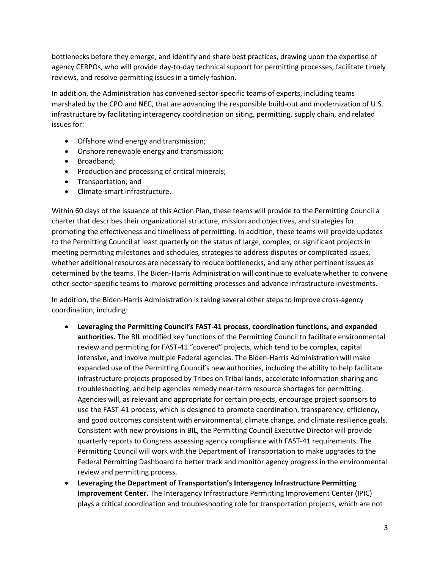bottlenecks before they emerge, and identify and share best practices, drawing upon the expertise of agency CERPOs, who will provide day-to-day technical support for permitting processes, facilitate timely reviews, and resolve permitting issues in a timely fashion.

In addition, the Administration has convened sector-specific teams of experts, including teams marshaled by the CPO and NEC, that are advancing the responsible build-out and modernization of U.S. infrastructure by facilitating interagency coordination on siting, permitting, supply chain, and related issues for:

- Offshore wind energy and transmission;
- Onshore renewable energy and transmission;
- Broadband;
- Production and processing of critical minerals;
- Transportation; and
- Climate-smart infrastructure.

Within 60 days of the issuance of this Action Plan, these teams will provide to the Permitting Council a charter that describes their organizational structure, mission and objectives, and strategies for promoting the effectiveness and timeliness of permitting. In addition, these teams will provide updates to the Permitting Council at least quarterly on the status of large, complex, or significant projects in meeting permitting milestones and schedules, strategies to address disputes or complicated issues, whether additional resources are necessary to reduce bottlenecks, and any other pertinent issues as determined by the teams. The Biden-Harris Administration will continue to evaluate whether to convene other-sector-specific teams to improve permitting processes and advance infrastructure investments.

In addition, the Biden-Harris Administration is taking several other steps to improve cross-agency coordination, including:

- **Leveraging the Permitting Council's FAST-41 process, coordination functions, and expanded authorities.** The BIL modified key functions of the Permitting Council to facilitate environmental review and permitting for FAST-41 "covered" projects, which tend to be complex, capital intensive, and involve multiple Federal agencies. The Biden-Harris Administration will make expanded use of the Permitting Council's new authorities, including the ability to help facilitate infrastructure projects proposed by Tribes on Tribal lands, accelerate information sharing and troubleshooting, and help agencies remedy near-term resource shortages for permitting. Agencies will, as relevant and appropriate for certain projects, encourage project sponsors to use the FAST-41 process, which is designed to promote coordination, transparency, efficiency, and good outcomes consistent with environmental, climate change, and climate resilience goals. Consistent with new provisions in BIL, the Permitting Council Executive Director will provide quarterly reports to Congress assessing agency compliance with FAST-41 requirements. The Permitting Council will work with the Department of Transportation to make upgrades to the Federal Permitting Dashboard to better track and monitor agency progress in the environmental review and permitting process.
- **Leveraging the Department of Transportation's Interagency Infrastructure Permitting Improvement Center.** The Interagency Infrastructure Permitting Improvement Center (IPIC) plays a critical coordination and troubleshooting role for transportation projects, which are not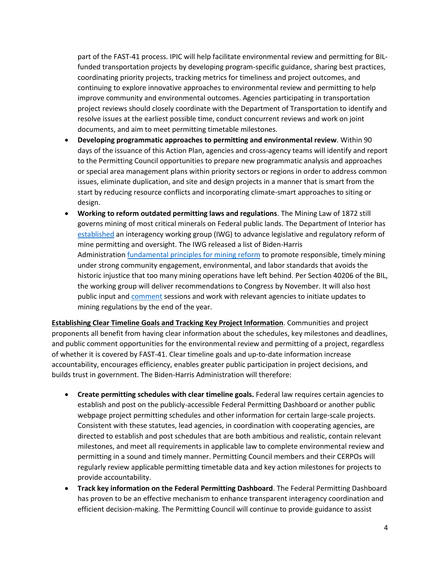part of the FAST-41 process. IPIC will help facilitate environmental review and permitting for BILfunded transportation projects by developing program-specific guidance, sharing best practices, coordinating priority projects, tracking metrics for timeliness and project outcomes, and continuing to explore innovative approaches to environmental review and permitting to help improve community and environmental outcomes. Agencies participating in transportation project reviews should closely coordinate with the Department of Transportation to identify and resolve issues at the earliest possible time, conduct concurrent reviews and work on joint documents, and aim to meet permitting timetable milestones.

- **Developing programmatic approaches to permitting and environmental review**. Within 90 days of the issuance of this Action Plan, agencies and cross-agency teams will identify and report to the Permitting Council opportunities to prepare new programmatic analysis and approaches or special area management plans within priority sectors or regions in order to address common issues, eliminate duplication, and site and design projects in a manner that is smart from the start by reducing resource conflicts and incorporating climate-smart approaches to siting or design.
- **Working to reform outdated permitting laws and regulations**. The Mining Law of 1872 still governs mining of most critical minerals on Federal public lands. The Department of Interior has [established](https://www.doi.gov/pressreleases/interior-department-launches-interagency-working-group-mining-reform) an interagency working group (IWG) to advance legislative and regulatory reform of mine permitting and oversight. The IWG released a list of Biden-Harris Administration [fundamental principles for mining reform](https://www.doi.gov/sites/doi.gov/files/biden-harris-administration-fundamental-principles-for-domestic-mining-reform.pdf) to promote responsible, timely mining under strong community engagement, environmental, and labor standards that avoids the historic injustice that too many mining operations have left behind. Per Section 40206 of the BIL, the working group will deliver recommendations to Congress by November. It will also host public input and [comment](https://www.federalregister.gov/documents/2022/03/31/2022-06750/request-for-information-to-inform-interagency-working-group-on-mining-regulations-laws-and) sessions and work with relevant agencies to initiate updates to mining regulations by the end of the year.

**Establishing Clear Timeline Goals and Tracking Key Project Information**. Communities and project proponents all benefit from having clear information about the schedules, key milestones and deadlines, and public comment opportunities for the environmental review and permitting of a project, regardless of whether it is covered by FAST-41. Clear timeline goals and up-to-date information increase accountability, encourages efficiency, enables greater public participation in project decisions, and builds trust in government. The Biden-Harris Administration will therefore:

- **Create permitting schedules with clear timeline goals.** Federal law requires certain agencies to establish and post on the publicly-accessible Federal Permitting Dashboard or another public webpage project permitting schedules and other information for certain large-scale projects. Consistent with these statutes, lead agencies, in coordination with cooperating agencies, are directed to establish and post schedules that are both ambitious and realistic, contain relevant milestones, and meet all requirements in applicable law to complete environmental review and permitting in a sound and timely manner. Permitting Council members and their CERPOs will regularly review applicable permitting timetable data and key action milestones for projects to provide accountability.
- **Track key information on the Federal Permitting Dashboard**. The Federal Permitting Dashboard has proven to be an effective mechanism to enhance transparent interagency coordination and efficient decision-making. The Permitting Council will continue to provide guidance to assist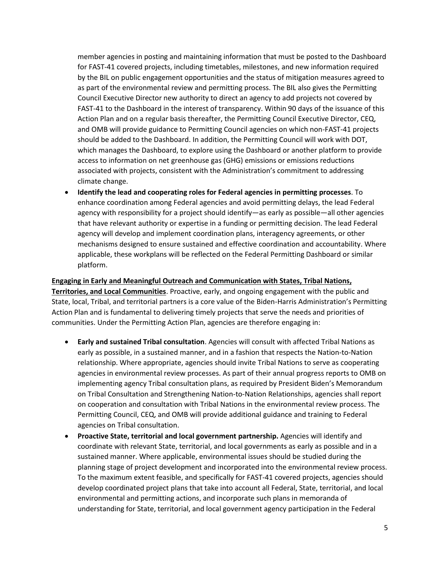member agencies in posting and maintaining information that must be posted to the Dashboard for FAST-41 covered projects, including timetables, milestones, and new information required by the BIL on public engagement opportunities and the status of mitigation measures agreed to as part of the environmental review and permitting process. The BIL also gives the Permitting Council Executive Director new authority to direct an agency to add projects not covered by FAST-41 to the Dashboard in the interest of transparency. Within 90 days of the issuance of this Action Plan and on a regular basis thereafter, the Permitting Council Executive Director, CEQ, and OMB will provide guidance to Permitting Council agencies on which non-FAST-41 projects should be added to the Dashboard. In addition, the Permitting Council will work with DOT, which manages the Dashboard, to explore using the Dashboard or another platform to provide access to information on net greenhouse gas (GHG) emissions or emissions reductions associated with projects, consistent with the Administration's commitment to addressing climate change.

• **Identify the lead and cooperating roles for Federal agencies in permitting processes**. To enhance coordination among Federal agencies and avoid permitting delays, the lead Federal agency with responsibility for a project should identify—as early as possible—all other agencies that have relevant authority or expertise in a funding or permitting decision. The lead Federal agency will develop and implement coordination plans, interagency agreements, or other mechanisms designed to ensure sustained and effective coordination and accountability. Where applicable, these workplans will be reflected on the Federal Permitting Dashboard or similar platform.

**Engaging in Early and Meaningful Outreach and Communication with States, Tribal Nations, Territories, and Local Communities**. Proactive, early, and ongoing engagement with the public and State, local, Tribal, and territorial partners is a core value of the Biden-Harris Administration's Permitting Action Plan and is fundamental to delivering timely projects that serve the needs and priorities of communities. Under the Permitting Action Plan, agencies are therefore engaging in:

- **Early and sustained Tribal consultation**. Agencies will consult with affected Tribal Nations as early as possible, in a sustained manner, and in a fashion that respects the Nation-to-Nation relationship. Where appropriate, agencies should invite Tribal Nations to serve as cooperating agencies in environmental review processes. As part of their annual progress reports to OMB on implementing agency Tribal consultation plans, as required by President Biden's Memorandum on Tribal Consultation and Strengthening Nation-to-Nation Relationships, agencies shall report on cooperation and consultation with Tribal Nations in the environmental review process. The Permitting Council, CEQ, and OMB will provide additional guidance and training to Federal agencies on Tribal consultation.
- **Proactive State, territorial and local government partnership.** Agencies will identify and coordinate with relevant State, territorial, and local governments as early as possible and in a sustained manner. Where applicable, environmental issues should be studied during the planning stage of project development and incorporated into the environmental review process. To the maximum extent feasible, and specifically for FAST-41 covered projects, agencies should develop coordinated project plans that take into account all Federal, State, territorial, and local environmental and permitting actions, and incorporate such plans in memoranda of understanding for State, territorial, and local government agency participation in the Federal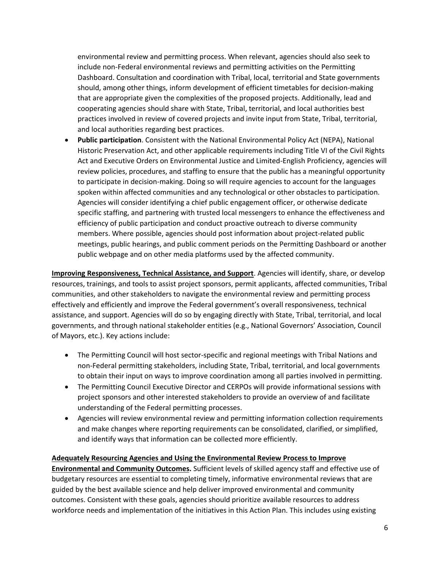environmental review and permitting process. When relevant, agencies should also seek to include non-Federal environmental reviews and permitting activities on the Permitting Dashboard. Consultation and coordination with Tribal, local, territorial and State governments should, among other things, inform development of efficient timetables for decision-making that are appropriate given the complexities of the proposed projects. Additionally, lead and cooperating agencies should share with State, Tribal, territorial, and local authorities best practices involved in review of covered projects and invite input from State, Tribal, territorial, and local authorities regarding best practices.

• **Public participation**. Consistent with the National Environmental Policy Act (NEPA), National Historic Preservation Act, and other applicable requirements including Title VI of the Civil Rights Act and Executive Orders on Environmental Justice and Limited-English Proficiency, agencies will review policies, procedures, and staffing to ensure that the public has a meaningful opportunity to participate in decision-making. Doing so will require agencies to account for the languages spoken within affected communities and any technological or other obstacles to participation. Agencies will consider identifying a chief public engagement officer, or otherwise dedicate specific staffing, and partnering with trusted local messengers to enhance the effectiveness and efficiency of public participation and conduct proactive outreach to diverse community members. Where possible, agencies should post information about project-related public meetings, public hearings, and public comment periods on the Permitting Dashboard or another public webpage and on other media platforms used by the affected community.

**Improving Responsiveness, Technical Assistance, and Support**. Agencies will identify, share, or develop resources, trainings, and tools to assist project sponsors, permit applicants, affected communities, Tribal communities, and other stakeholders to navigate the environmental review and permitting process effectively and efficiently and improve the Federal government's overall responsiveness, technical assistance, and support. Agencies will do so by engaging directly with State, Tribal, territorial, and local governments, and through national stakeholder entities (e.g., National Governors' Association, Council of Mayors, etc.). Key actions include:

- The Permitting Council will host sector-specific and regional meetings with Tribal Nations and non-Federal permitting stakeholders, including State, Tribal, territorial, and local governments to obtain their input on ways to improve coordination among all parties involved in permitting.
- The Permitting Council Executive Director and CERPOs will provide informational sessions with project sponsors and other interested stakeholders to provide an overview of and facilitate understanding of the Federal permitting processes.
- Agencies will review environmental review and permitting information collection requirements and make changes where reporting requirements can be consolidated, clarified, or simplified, and identify ways that information can be collected more efficiently.

## **Adequately Resourcing Agencies and Using the Environmental Review Process to Improve**

**Environmental and Community Outcomes.** Sufficient levels of skilled agency staff and effective use of budgetary resources are essential to completing timely, informative environmental reviews that are guided by the best available science and help deliver improved environmental and community outcomes. Consistent with these goals, agencies should prioritize available resources to address workforce needs and implementation of the initiatives in this Action Plan. This includes using existing